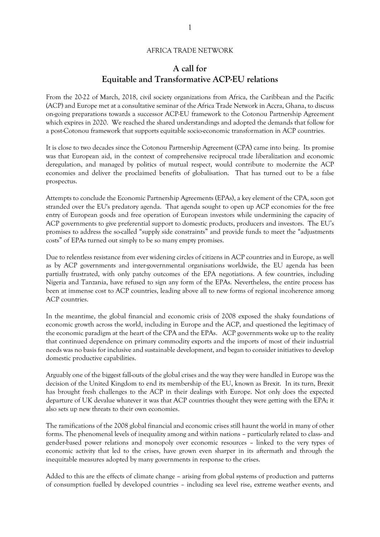#### AFRICA TRADE NETWORK

# **A call for Equitable and Transformative ACP-EU relations**

From the 20-22 of March, 2018, civil society organizations from Africa, the Caribbean and the Pacific (ACP) and Europe met at a consultative seminar of the Africa Trade Network in Accra, Ghana, to discuss on-going preparations towards a successor ACP-EU framework to the Cotonou Partnership Agreement which expires in 2020. We reached the shared understandings and adopted the demands that follow for a post-Cotonou framework that supports equitable socio-economic transformation in ACP countries.

It is close to two decades since the Cotonou Partnership Agreement (CPA) came into being. Its promise was that European aid, in the context of comprehensive reciprocal trade liberalization and economic deregulation, and managed by politics of mutual respect, would contribute to modernize the ACP economies and deliver the proclaimed benefits of globalisation. That has turned out to be a false prospectus.

Attempts to conclude the Economic Partnership Agreements (EPAs), a key element of the CPA, soon got stranded over the EU's predatory agenda. That agenda sought to open up ACP economies for the free entry of European goods and free operation of European investors while undermining the capacity of ACP governments to give preferential support to domestic products, producers and investors. The EU's promises to address the so-called "supply side constraints" and provide funds to meet the "adjustments costs" of EPAs turned out simply to be so many empty promises.

Due to relentless resistance from ever widening circles of citizens in ACP countries and in Europe, as well as by ACP governments and inter-governmental organisations worldwide, the EU agenda has been partially frustrated, with only patchy outcomes of the EPA negotiations. A few countries, including Nigeria and Tanzania, have refused to sign any form of the EPAs. Nevertheless, the entire process has been at immense cost to ACP countries, leading above all to new forms of regional incoherence among ACP countries.

In the meantime, the global financial and economic crisis of 2008 exposed the shaky foundations of economic growth across the world, including in Europe and the ACP, and questioned the legitimacy of the economic paradigm at the heart of the CPA and the EPAs. ACP governments woke up to the reality that continued dependence on primary commodity exports and the imports of most of their industrial needs was no basis for inclusive and sustainable development, and began to consider initiatives to develop domestic productive capabilities.

Arguably one of the biggest fall-outs of the global crises and the way they were handled in Europe was the decision of the United Kingdom to end its membership of the EU, known as Brexit. In its turn, Brexit has brought fresh challenges to the ACP in their dealings with Europe. Not only does the expected departure of UK devalue whatever it was that ACP countries thought they were getting with the EPA; it also sets up new threats to their own economies.

The ramifications of the 2008 global financial and economic crises still haunt the world in many of other forms. The phenomenal levels of inequality among and within nations – particularly related to class- and gender-based power relations and monopoly over economic resources – linked to the very types of economic activity that led to the crises, have grown even sharper in its aftermath and through the inequitable measures adopted by many governments in response to the crises.

Added to this are the effects of climate change – arising from global systems of production and patterns of consumption fuelled by developed countries – including sea level rise, extreme weather events, and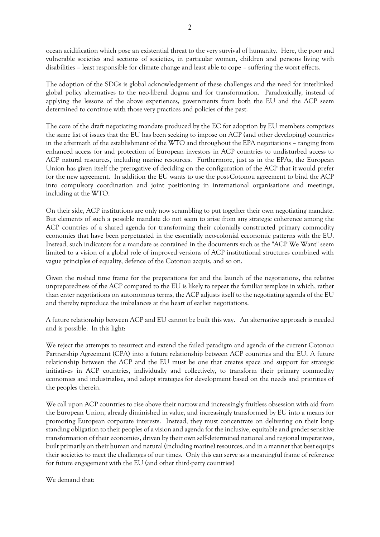ocean acidification which pose an existential threat to the very survival of humanity. Here, the poor and vulnerable societies and sections of societies, in particular women, children and persons living with disabilities – least responsible for climate change and least able to cope – suffering the worst effects.

The adoption of the SDGs is global acknowledgement of these challenges and the need for interlinked global policy alternatives to the neo-liberal dogma and for transformation. Paradoxically, instead of applying the lessons of the above experiences, governments from both the EU and the ACP seem determined to continue with those very practices and policies of the past.

The core of the draft negotiating mandate produced by the EC for adoption by EU members comprises the same list of issues that the EU has been seeking to impose on ACP (and other developing) countries in the aftermath of the establishment of the WTO and throughout the EPA negotiations – ranging from enhanced access for and protection of European investors in ACP countries to undisturbed access to ACP natural resources, including marine resources. Furthermore, just as in the EPAs, the European Union has given itself the prerogative of deciding on the configuration of the ACP that it would prefer for the new agreement. In addition the EU wants to use the post-Cotonou agreement to bind the ACP into compulsory coordination and joint positioning in international organisations and meetings, including at the WTO.

On their side, ACP institutions are only now scrambling to put together their own negotiating mandate. But elements of such a possible mandate do not seem to arise from any strategic coherence among the ACP countries of a shared agenda for transforming their colonially constructed primary commodity economies that have been perpetuated in the essentially neo-colonial ecconomic patterns with the EU. Instead, such indicators for a mandate as contained in the documents such as the "ACP We Want" seem limited to a vision of a global role of improved versions of ACP institutional structures combined with vague principles of equality, defence of the Cotonou acquis, and so on.

Given the rushed time frame for the preparations for and the launch of the negotiations, the relative unpreparedness of the ACP compared to the EU is likely to repeat the familiar template in which, rather than enter negotiations on autonomous terms, the ACP adjusts itself to the negotiating agenda of the EU and thereby reproduce the imbalances at the heart of earlier negotiations.

A future relationship between ACP and EU cannot be built this way. An alternative approach is needed and is possible. In this light:

We reject the attempts to resurrect and extend the failed paradigm and agenda of the current Cotonou Partnership Agreement (CPA) into a future relationship between ACP countries and the EU. A future relationship between the ACP and the EU must be one that creates space and support for strategic initiatives in ACP countries, individually and collectively, to transform their primary commodity economies and industrialise, and adopt strategies for development based on the needs and priorities of the peoples therein.

We call upon ACP countries to rise above their narrow and increasingly fruitless obsession with aid from the European Union, already diminished in value, and increasingly transformed by EU into a means for promoting European corporate interests. Instead, they must concentrate on delivering on their longstanding obligation to their peoples of a vision and agenda for the inclusive, equitable and gender-sensitive transformation of their economies, driven by their own self-determined national and regional imperatives, built primarily on their human and natural (including marine) resources, and in a manner that best equips their societies to meet the challenges of our times. Only this can serve as a meaningful frame of reference for future engagement with the EU (and other third-party countries)

We demand that: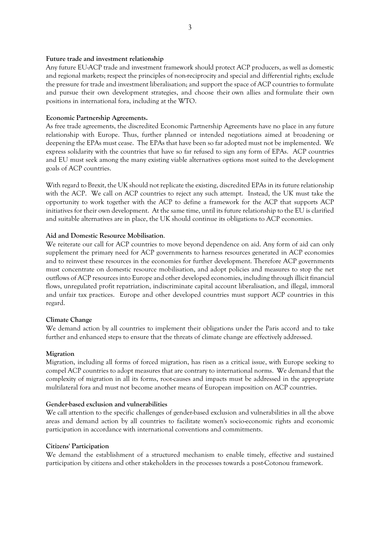# **Future trade and investment relationship**

Any future EU-ACP trade and investment framework should protect ACP producers, as well as domestic and regional markets; respect the principles of non-reciprocity and special and differential rights; exclude the pressure for trade and investment liberalisation; and support the space of ACP countries to formulate and pursue their own development strategies, and choose their own allies and formulate their own positions in international fora, including at the WTO.

# **Economic Partnership Agreements.**

As free trade agreements, the discredited Economic Partnership Agreements have no place in any future relationship with Europe. Thus, further planned or intended negotiations aimed at broadening or deepening the EPAs must cease. The EPAs that have been so far adopted must not be implemented. We express solidarity with the countries that have so far refused to sign any form of EPAs. ACP countries and EU must seek among the many existing viable alternatives options most suited to the development goals of ACP countries.

With regard to Brexit, the UK should not replicate the existing, discredited EPAs in its future relationship with the ACP. We call on ACP countries to reject any such attempt. Instead, the UK must take the opportunity to work together with the ACP to define a framework for the ACP that supports ACP initiatives for their own development. At the same time, until its future relationship to the EU is clarified and suitable alternatives are in place, the UK should continue its obligations to ACP economies.

# **Aid and Domestic Resource Mobilisation**.

We reiterate our call for ACP countries to move beyond dependence on aid. Any form of aid can only supplement the primary need for ACP governments to harness resources generated in ACP economies and to reinvest these resources in the economies for further development. Therefore ACP governments must concentrate on domestic resource mobilisation, and adopt policies and measures to stop the net outflows of ACP resources into Europe and other developed economies, including through illicit financial flows, unregulated profit repatriation, indiscriminate capital account liberalisation, and illegal, immoral and unfair tax practices. Europe and other developed countries must support ACP countries in this regard.

# **Climate Change**

We demand action by all countries to implement their obligations under the Paris accord and to take further and enhanced steps to ensure that the threats of climate change are effectively addressed.

# **Migration**

Migration, including all forms of forced migration, has risen as a critical issue, with Europe seeking to compel ACP countries to adopt measures that are contrary to international norms. We demand that the complexity of migration in all its forms, root-causes and impacts must be addressed in the appropriate multilateral fora and must not become another means of European imposition on ACP countries.

# **Gender-based exclusion and vulnerabilities**

We call attention to the specific challenges of gender-based exclusion and vulnerabilities in all the above areas and demand action by all countries to facilitate women's socio-economic rights and economic participation in accordance with international conventions and commitments.

# **Citizens' Participation**

We demand the establishment of a structured mechanism to enable timely, effective and sustained participation by citizens and other stakeholders in the processes towards a post-Cotonou framework.